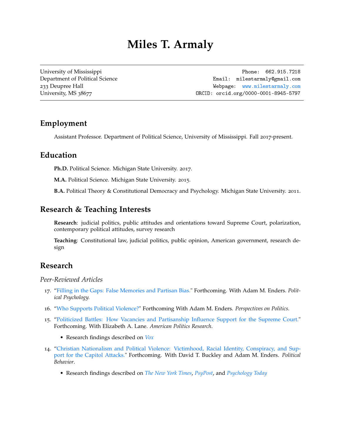# **Miles T. Armaly**

[University of Mississippi](https://www.olemiss.edu/) **Phone: 662.915.7218** [Department of Political Science](http://politicalscience.olemiss.edu/) **Email:** [milestarmaly@gmail.com](mailto:milestarmaly@gmail.com) 233 Deupree Hall Webpage: <www.milestarmaly.com> University, MS 38677 08001 08000 08000 08000 08000 08000 0001-8945-5797

# **Employment**

Assistant Professor. Department of Political Science, University of Mississippi. Fall 2017-present.

### **Education**

**Ph.D.** Political Science. Michigan State University. 2017.

**M.A.** Political Science. Michigan State University. 2015.

**B.A.** Political Theory & Constitutional Democracy and Psychology. Michigan State University. 2011.

# **Research & Teaching Interests**

**Research**: judicial politics, public attitudes and orientations toward Supreme Court, polarization, contemporary political attitudes, survey research

**Teaching**: Constitutional law, judicial politics, public opinion, American government, research design

# **Research**

*Peer-Reviewed Articles*

- 17. ["Filling in the Gaps: False Memories and Partisan Bias."](https://www.milestarmaly.com/_files/ugd/c3f8ac_456b7d33a6e34cbc994a6b7be76e303c.pdf) Forthcoming. With Adam M. Enders. *Political Psychology.*
- 16. ["Who Supports Political Violence?"](https://1883a0de-4345-4d02-b0c8-c35248c39ca2.filesusr.com/ugd/c3f8ac_f49ff38e68fd47618daa3c57b0402aea.pdf) Forthcoming With Adam M. Enders. *Perspectives on Politics*.
- 15. ["Politicized Battles: How Vacancies and Partisanship Influence Support for the Supreme Court."](https://1883a0de-4345-4d02-b0c8-c35248c39ca2.filesusr.com/ugd/c3f8ac_f2d89c025c044f0d96409a7fd4acf962.pdf) Forthcoming. With Elizabeth A. Lane. *American Politics Research*.
	- Research findings described on *[Vox](https://www.vox.com/23055620/supreme-court-legitimacy-crisis-abortion-roe)*
- 14. ["Christian Nationalism and Political Violence: Victimhood, Racial Identity, Conspiracy, and Sup](https://1883a0de-4345-4d02-b0c8-c35248c39ca2.filesusr.com/ugd/c3f8ac_f6d84fecdc71415488544a242fecadfe.pdf)[port for the Capitol Attacks."](https://1883a0de-4345-4d02-b0c8-c35248c39ca2.filesusr.com/ugd/c3f8ac_f6d84fecdc71415488544a242fecadfe.pdf) Forthcoming. With David T. Buckley and Adam M. Enders. *Political Behavior*.
	- Research findings described on *[The New York Times](https://www.nytimes.com/2022/05/18/opinion/christian-nationalism-great-replacement.html)*, *[PsyPost](https://www.psypost.org/2022/02/victimhood-racial-identity-and-conspiracism-interact-with-christian-nationalism-to-lead-to-support-for-violence-62589)*, and *[Psychology Today](https://www.psychologytoday.com/us/blog/upon-reflection/202201/justice-nationalism-christianity-and-race)*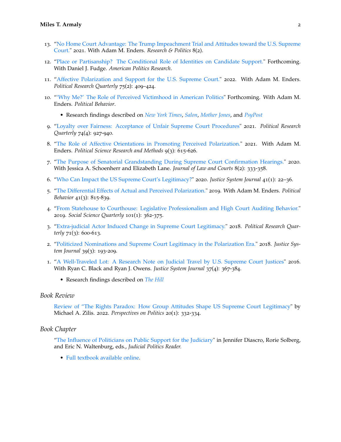- 13. ["No Home Court Advantage: The Trump Impeachment Trial and Attitudes toward the U.S. Supreme](https://journals.sagepub.com/doi/pdf/10.1177/20531680211053067) [Court."](https://journals.sagepub.com/doi/pdf/10.1177/20531680211053067) 2021. With Adam M. Enders. *Research & Politics* 8(2).
- 12. ["Place or Partisanship? The Conditional Role of Identities on Candidate Support."](https://1883a0de-4345-4d02-b0c8-c35248c39ca2.filesusr.com/ugd/c3f8ac_244fc16ab450461f80799daee5e3e1e8.pdf) Forthcoming. With Daniel J. Fudge. *American Politics Research*.
- 11. ["Affective Polarization and Support for the U.S. Supreme Court."](https://1883a0de-4345-4d02-b0c8-c35248c39ca2.filesusr.com/ugd/c3f8ac_16278c2d0bfd47c9886e435c83c29046.pdf) 2022. With Adam M. Enders. *Political Research Quarterly* 75(2): 409–424.
- 10. ["'Why Me?' The Role of Perceived Victimhood in American Politics"](https://1883a0de-4345-4d02-b0c8-c35248c39ca2.filesusr.com/ugd/c3f8ac_5b698fddbacd4c64a28a7a20395a2c14.pdf) Forthcoming. With Adam M. Enders. *Political Behavior*.
	- Research findings described on *[New York Times](https://www.nytimes.com/2021/04/21/opinion/trump-republicans.html)*, *[Salon](https://www.salon.com/2020/12/19/donald-trump-and-the-politics-of-victimhood-from-winning-to-whining/)*, *[Mother Jones](https://www.motherjones.com/kevin-drum/2021/01/are-feelings-of-victimhood-rising-heres-a-quick-look/)*, and *[PsyPost](https://www.psypost.org/2021/01/egocentric-victimhood-is-linked-to-support-for-trump-study-finds-59172)*
- 9. ["Loyalty over Fairness: Acceptance of Unfair Supreme Court Procedures"](https://1883a0de-4345-4d02-b0c8-c35248c39ca2.filesusr.com/ugd/c3f8ac_ecf3baa79be24c95b37213c3ef97d8f2.pdf) 2021. *Political Research Quarterly* 74(4): 927-940.
- 8. ["The Role of Affective Orientations in Promoting Perceived Polarization."](https://1883a0de-4345-4d02-b0c8-c35248c39ca2.filesusr.com/ugd/c3f8ac_3744b21a1ac548cba7e08bbef2d0191e.pdf) 2021. With Adam M. Enders. *Political Science Research and Methods* 9(3): 615-626.
- 7. ["The Purpose of Senatorial Grandstanding During Supreme Court Confirmation Hearings."](https://1883a0de-4345-4d02-b0c8-c35248c39ca2.filesusr.com/ugd/c3f8ac_204894cc21d843dcbf6bb7382a017272.pdf) 2020. With Jessica A. Schoenherr and Elizabeth Lane. *Journal of Law and Courts* 8(2): 333-358.
- 6. ["Who Can Impact the US Supreme Court's Legitimacy?"](https://1883a0de-4345-4d02-b0c8-c35248c39ca2.filesusr.com/ugd/c3f8ac_e96ba8629149456e8c0b443e2b80573c.pdf) 2020. *Justice System Journal* 41(1): 22–36.
- 5. ["The Differential Effects of Actual and Perceived Polarization."](https://docs.wixstatic.com/ugd/c3f8ac_a710e6a5d8ae48fa8b95d78f41008290.pdf) 2019. With Adam M. Enders. *Political Behavior* 41(3): 815-839.
- 4. ["From Statehouse to Courthouse: Legislative Professionalism and High Court Auditing Behavior."](https://docs.wixstatic.com/ugd/c3f8ac_13dc8952d8874c699219909867752a37.pdf) 2019. *Social Science Quarterly* 101(1): 362-375.
- 3. ["Extra-judicial Actor Induced Change in Supreme Court Legitimacy."](https://docs.wixstatic.com/ugd/c3f8ac_03bfff3ef7b94ebc89d3e049c1f53ddc.pdf) 2018. *Political Research Quarterly* 71(3): 600-613.
- 2. ["Politicized Nominations and Supreme Court Legitimacy in the Polarization Era."](https://docs.wixstatic.com/ugd/c3f8ac_e555545b567c43baaf8150d80511a248.pdf) 2018. *Justice System Journal* 39(3): 193-209.
- 1. ["A Well-Traveled Lot: A Research Note on Judicial Travel by U.S. Supreme Court Justices"](http://media.wix.com/ugd/c3f8ac_d7636e36b5a8469b992552a55dda40c1.pdf) 2016. With Ryan C. Black and Ryan J. Owens. *Justice System Journal* 37(4): 367-384.
	- Research findings described on *[The Hill](https://thehill.com/regulation/court-battles/460154-ruth-bader-ginsburg-shows-no-sign-of-slowing-down-amid-health-scares)*

#### *Book Review*

[Review of "The Rights Paradox: How Group Attitudes Shape US Supreme Court Legitimacy"](https://www.cambridge.org/core/journals/perspectives-on-politics/article/the-rights-paradox-how-group-attitudes-shape-us-supreme-court-legitimacy-by-michael-a-zilis-cambridge-cambridge-university-press-2021-250p-9999-cloth/88F697F0568C281BB405ACE26B378C53) by Michael A. Zilis. 2022. *Perspectives on Politics* 20(1): 332-334.

#### *Book Chapter*

["The Influence of Politicians on Public Support for the Judiciary"](https://open.oregonstate.education/open-judicial-politics/chapter/armaly/) in Jennifer Diascro, Rorie Solberg, and Eric N. Waltenburg, eds., *Judicial Politics Reader.*

• [Full textbook available online.](https://open.oregonstate.education/open-judicial-politics/)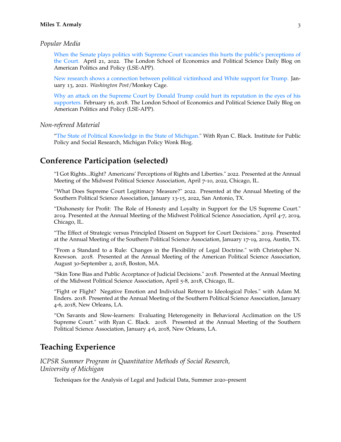#### *Popular Media*

[When the Senate plays politics with Supreme Court vacancies this hurts the public's perceptions of](https://blogs.lse.ac.uk/usappblog/2022/04/21/when-the-senate-plays-politics-with-supreme-court-vacancies-this-hurts-the-publics-perceptions-of-the-court/) [the Court.](https://blogs.lse.ac.uk/usappblog/2022/04/21/when-the-senate-plays-politics-with-supreme-court-vacancies-this-hurts-the-publics-perceptions-of-the-court/) April 21, 2022. The London School of Economics and Political Science Daily Blog on American Politics and Policy (LSE-APP).

[New research shows a connection between political victimhood and White support for Trump.](https://www.washingtonpost.com/politics/2021/01/13/new-research-shows-connection-between-political-victimhood-white-support-trump/?utm_source=twitter&utm_campaign=wp_monkeycage&utm_medium=social) January 13, 2021. *Washington Post*/Monkey Cage.

[Why an attack on the Supreme Court by Donald Trump could hurt its reputation in the eyes of his](http://blogs.lse.ac.uk/usappblog/2018/02/16/why-an-attack-on-the-supreme-court-by-donald-trump-could-hurt-its-reputation-in-the-eyes-of-his-supporters/) [supporters.](http://blogs.lse.ac.uk/usappblog/2018/02/16/why-an-attack-on-the-supreme-court-by-donald-trump-could-hurt-its-reputation-in-the-eyes-of-his-supporters/) February 16, 2018. The London School of Economics and Political Science Daily Blog on American Politics and Policy (LSE-APP).

#### *Non-refereed Material*

["The State of Political Knowledge in the State of Michigan."](http://ippsr.msu.edu/public-policy/michigan-wonk-blog/state-political-knowledge-state-michigan) With Ryan C. Black. Institute for Public Policy and Social Research, Michigan Policy Wonk Blog.

### **Conference Participation (selected)**

"I Got Rights...Right? Americans' Perceptions of Rights and Liberties." 2022. Presented at the Annual Meeting of the Midwest Political Science Association, April 7-10, 2022, Chicago, IL.

"What Does Supreme Court Legitimacy Measure?" 2022. Presented at the Annual Meeting of the Southern Political Science Association, January 13-15, 2022, San Antonio, TX.

"Dishonesty for Profit: The Role of Honesty and Loyalty in Support for the US Supreme Court." 2019. Presented at the Annual Meeting of the Midwest Political Science Association, April 4-7, 2019, Chicago, IL.

"The Effect of Strategic versus Principled Dissent on Support for Court Decisions." 2019. Presented at the Annual Meeting of the Southern Political Science Association, January 17-19, 2019, Austin, TX.

"From a Standard to a Rule: Changes in the Flexibility of Legal Doctrine." with Christopher N. Krewson. 2018. Presented at the Annual Meeting of the American Political Science Association, August 30-September 2, 2018, Boston, MA.

"Skin Tone Bias and Public Acceptance of Judicial Decisions." 2018. Presented at the Annual Meeting of the Midwest Political Science Association, April 5-8, 2018, Chicago, IL.

"Fight or Flight? Negative Emotion and Individual Retreat to Ideological Poles." with Adam M. Enders. 2018. Presented at the Annual Meeting of the Southern Political Science Association, January 4-6, 2018, New Orleans, LA.

"On Savants and Slow-learners: Evaluating Heterogeneity in Behavioral Acclimation on the US Supreme Court." with Ryan C. Black. 2018. Presented at the Annual Meeting of the Southern Political Science Association, January 4-6, 2018, New Orleans, LA.

### **Teaching Experience**

*ICPSR Summer Program in Quantitative Methods of Social Research, University of Michigan*

Techniques for the Analysis of Legal and Judicial Data, Summer 2020–present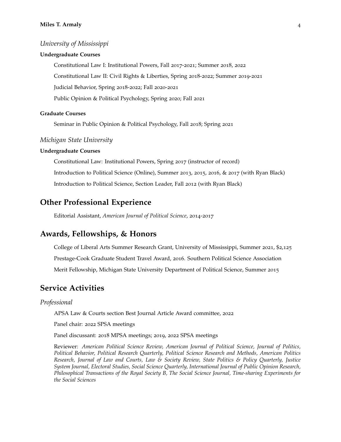#### *University of Mississippi*

#### **Undergraduate Courses**

Constitutional Law I: Institutional Powers, Fall 2017-2021; Summer 2018, 2022 Constitutional Law II: Civil Rights & Liberties, Spring 2018-2022; Summer 2019-2021 Judicial Behavior, Spring 2018-2022; Fall 2020-2021 Public Opinion & Political Psychology, Spring 2020; Fall 2021

#### **Graduate Courses**

Seminar in Public Opinion & Political Psychology, Fall 2018; Spring 2021

#### *Michigan State University*

#### **Undergraduate Courses**

Constitutional Law: Institutional Powers, Spring 2017 (instructor of record) Introduction to Political Science (Online), Summer 2013, 2015, 2016, & 2017 (with Ryan Black) Introduction to Political Science, Section Leader, Fall 2012 (with Ryan Black)

### **Other Professional Experience**

Editorial Assistant, *American Journal of Political Science*, 2014-2017

### **Awards, Fellowships, & Honors**

College of Liberal Arts Summer Research Grant, University of Mississippi, Summer 2021, \$2,125 Prestage-Cook Graduate Student Travel Award, 2016. Southern Political Science Association Merit Fellowship, Michigan State University Department of Political Science, Summer 2015

### **Service Activities**

#### *Professional*

APSA Law & Courts section Best Journal Article Award committee, 2022

Panel chair: 2022 SPSA meetings

Panel discussant: 2018 MPSA meetings; 2019, 2022 SPSA meetings

Reviewer: *American Political Science Review, American Journal of Political Science, Journal of Politics, Political Behavior, Political Research Quarterly, Political Science Research and Methods, American Politics Research, Journal of Law and Courts, Law & Society Review, State Politics & Policy Quarterly, Justice System Journal, Electoral Studies, Social Science Quarterly, International Journal of Public Opinion Research, Philosophical Transactions of the Royal Society B, The Social Science Journal, Time-sharing Experiments for the Social Sciences*